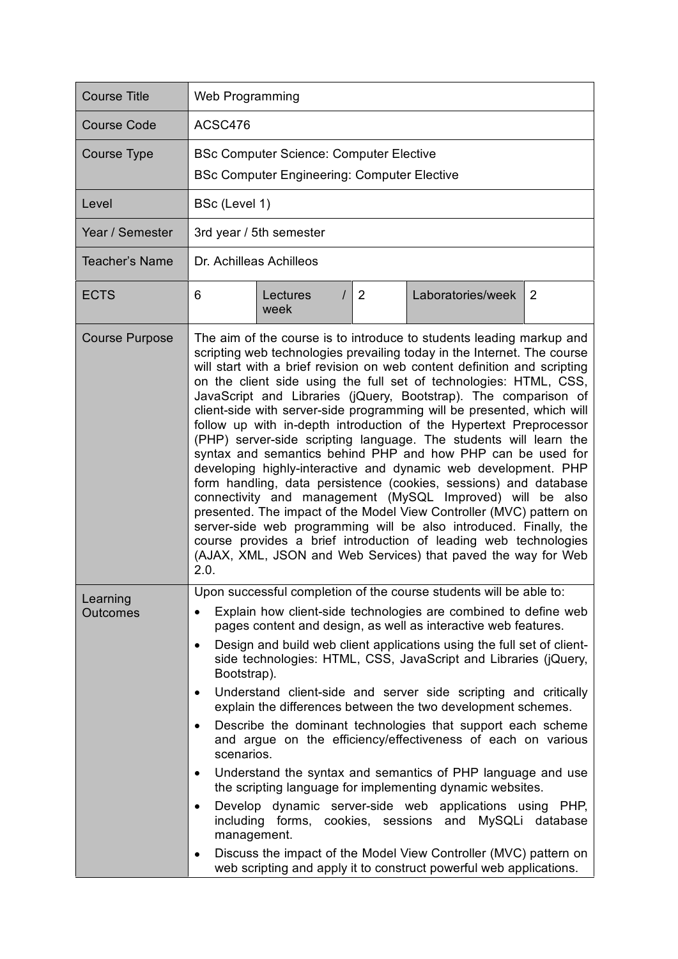| <b>Course Title</b>         | Web Programming                                                                                                                                                                                                                                                                                                                                                                                                                                                                                                                                                                                                                                                                                                                                                                                                                                                                                                                                                                                                                                                                                                                                     |  |  |  |
|-----------------------------|-----------------------------------------------------------------------------------------------------------------------------------------------------------------------------------------------------------------------------------------------------------------------------------------------------------------------------------------------------------------------------------------------------------------------------------------------------------------------------------------------------------------------------------------------------------------------------------------------------------------------------------------------------------------------------------------------------------------------------------------------------------------------------------------------------------------------------------------------------------------------------------------------------------------------------------------------------------------------------------------------------------------------------------------------------------------------------------------------------------------------------------------------------|--|--|--|
| <b>Course Code</b>          | ACSC476                                                                                                                                                                                                                                                                                                                                                                                                                                                                                                                                                                                                                                                                                                                                                                                                                                                                                                                                                                                                                                                                                                                                             |  |  |  |
| <b>Course Type</b>          | <b>BSc Computer Science: Computer Elective</b><br><b>BSc Computer Engineering: Computer Elective</b>                                                                                                                                                                                                                                                                                                                                                                                                                                                                                                                                                                                                                                                                                                                                                                                                                                                                                                                                                                                                                                                |  |  |  |
| Level                       | BSc (Level 1)                                                                                                                                                                                                                                                                                                                                                                                                                                                                                                                                                                                                                                                                                                                                                                                                                                                                                                                                                                                                                                                                                                                                       |  |  |  |
| Year / Semester             | 3rd year / 5th semester                                                                                                                                                                                                                                                                                                                                                                                                                                                                                                                                                                                                                                                                                                                                                                                                                                                                                                                                                                                                                                                                                                                             |  |  |  |
| <b>Teacher's Name</b>       | Dr. Achilleas Achilleos                                                                                                                                                                                                                                                                                                                                                                                                                                                                                                                                                                                                                                                                                                                                                                                                                                                                                                                                                                                                                                                                                                                             |  |  |  |
| <b>ECTS</b>                 | 6<br>2<br>Laboratories/week<br>2<br>Lectures<br>week                                                                                                                                                                                                                                                                                                                                                                                                                                                                                                                                                                                                                                                                                                                                                                                                                                                                                                                                                                                                                                                                                                |  |  |  |
| <b>Course Purpose</b>       | The aim of the course is to introduce to students leading markup and<br>scripting web technologies prevailing today in the Internet. The course<br>will start with a brief revision on web content definition and scripting<br>on the client side using the full set of technologies: HTML, CSS,<br>JavaScript and Libraries (jQuery, Bootstrap). The comparison of<br>client-side with server-side programming will be presented, which will<br>follow up with in-depth introduction of the Hypertext Preprocessor<br>(PHP) server-side scripting language. The students will learn the<br>syntax and semantics behind PHP and how PHP can be used for<br>developing highly-interactive and dynamic web development. PHP<br>form handling, data persistence (cookies, sessions) and database<br>connectivity and management (MySQL Improved) will be also<br>presented. The impact of the Model View Controller (MVC) pattern on<br>server-side web programming will be also introduced. Finally, the<br>course provides a brief introduction of leading web technologies<br>(AJAX, XML, JSON and Web Services) that paved the way for Web<br>2.0. |  |  |  |
| Learning<br><b>Outcomes</b> | Upon successful completion of the course students will be able to:<br>Explain how client-side technologies are combined to define web<br>٠<br>pages content and design, as well as interactive web features.<br>Design and build web client applications using the full set of client-<br>$\bullet$<br>side technologies: HTML, CSS, JavaScript and Libraries (jQuery,<br>Bootstrap).<br>Understand client-side and server side scripting and critically<br>٠<br>explain the differences between the two development schemes.<br>Describe the dominant technologies that support each scheme<br>٠<br>and argue on the efficiency/effectiveness of each on various<br>scenarios.<br>Understand the syntax and semantics of PHP language and use<br>٠<br>the scripting language for implementing dynamic websites.<br>Develop dynamic server-side web applications using PHP,<br>٠<br>including forms, cookies, sessions and MySQLi database<br>management.<br>Discuss the impact of the Model View Controller (MVC) pattern on<br>web scripting and apply it to construct powerful web applications.                                                 |  |  |  |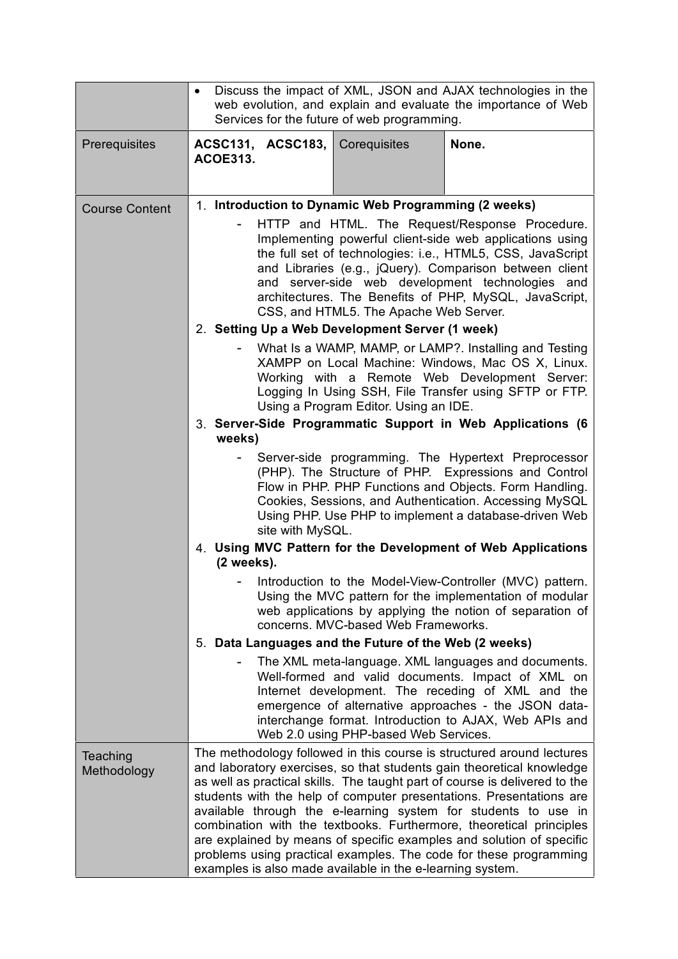|                         | Discuss the impact of XML, JSON and AJAX technologies in the<br>$\bullet$<br>web evolution, and explain and evaluate the importance of Web<br>Services for the future of web programming.                                                                                                                                                                                                                                                                                                                                                                                                                                                              |  |  |
|-------------------------|--------------------------------------------------------------------------------------------------------------------------------------------------------------------------------------------------------------------------------------------------------------------------------------------------------------------------------------------------------------------------------------------------------------------------------------------------------------------------------------------------------------------------------------------------------------------------------------------------------------------------------------------------------|--|--|
| Prerequisites           | None.<br>ACSC131, ACSC183, Corequisites<br><b>ACOE313.</b>                                                                                                                                                                                                                                                                                                                                                                                                                                                                                                                                                                                             |  |  |
| <b>Course Content</b>   | 1. Introduction to Dynamic Web Programming (2 weeks)<br>HTTP and HTML. The Request/Response Procedure.<br>Implementing powerful client-side web applications using<br>the full set of technologies: i.e., HTML5, CSS, JavaScript<br>and Libraries (e.g., jQuery). Comparison between client<br>and server-side web development technologies and<br>architectures. The Benefits of PHP, MySQL, JavaScript,<br>CSS, and HTML5. The Apache Web Server.                                                                                                                                                                                                    |  |  |
|                         |                                                                                                                                                                                                                                                                                                                                                                                                                                                                                                                                                                                                                                                        |  |  |
|                         | 2. Setting Up a Web Development Server (1 week)                                                                                                                                                                                                                                                                                                                                                                                                                                                                                                                                                                                                        |  |  |
|                         | What Is a WAMP, MAMP, or LAMP?. Installing and Testing<br>XAMPP on Local Machine: Windows, Mac OS X, Linux.<br>Working with a Remote Web Development Server:<br>Logging In Using SSH, File Transfer using SFTP or FTP.<br>Using a Program Editor. Using an IDE.                                                                                                                                                                                                                                                                                                                                                                                        |  |  |
|                         | 3. Server-Side Programmatic Support in Web Applications (6<br>weeks)                                                                                                                                                                                                                                                                                                                                                                                                                                                                                                                                                                                   |  |  |
|                         | Server-side programming. The Hypertext Preprocessor<br>(PHP). The Structure of PHP. Expressions and Control<br>Flow in PHP. PHP Functions and Objects. Form Handling.<br>Cookies, Sessions, and Authentication. Accessing MySQL<br>Using PHP. Use PHP to implement a database-driven Web<br>site with MySQL.                                                                                                                                                                                                                                                                                                                                           |  |  |
|                         | 4. Using MVC Pattern for the Development of Web Applications<br>$(2$ weeks).                                                                                                                                                                                                                                                                                                                                                                                                                                                                                                                                                                           |  |  |
|                         | Introduction to the Model-View-Controller (MVC) pattern.<br>Using the MVC pattern for the implementation of modular<br>web applications by applying the notion of separation of<br>concerns. MVC-based Web Frameworks.<br>5. Data Languages and the Future of the Web (2 weeks)                                                                                                                                                                                                                                                                                                                                                                        |  |  |
|                         |                                                                                                                                                                                                                                                                                                                                                                                                                                                                                                                                                                                                                                                        |  |  |
|                         | The XML meta-language. XML languages and documents.<br>$\qquad \qquad \blacksquare$<br>Well-formed and valid documents. Impact of XML on<br>Internet development. The receding of XML and the<br>emergence of alternative approaches - the JSON data-<br>interchange format. Introduction to AJAX, Web APIs and<br>Web 2.0 using PHP-based Web Services.                                                                                                                                                                                                                                                                                               |  |  |
| Teaching<br>Methodology | The methodology followed in this course is structured around lectures<br>and laboratory exercises, so that students gain theoretical knowledge<br>as well as practical skills. The taught part of course is delivered to the<br>students with the help of computer presentations. Presentations are<br>available through the e-learning system for students to use in<br>combination with the textbooks. Furthermore, theoretical principles<br>are explained by means of specific examples and solution of specific<br>problems using practical examples. The code for these programming<br>examples is also made available in the e-learning system. |  |  |